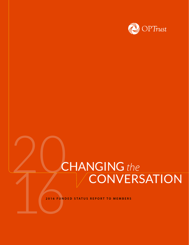

# CHANGING the<br>CONVERSATION **CHANGING** the CONVERSATION

**2016 FUNDED STATUS REPORT TO MEMBERS**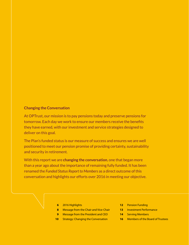# **Changing the Conversation**

At OPTrust, our mission is to pay pensions today and preserve pensions for tomorrow. Each day we work to ensure our members receive the benefits they have earned, with our investment and service strategies designed to deliver on this goal.

The Plan's funded status is our measure of success and ensures we are well positioned to meet our pension promise of providing certainty, sustainability and security in retirement.

With this report we are **changing the conversation**, one that began more than a year ago about the importance of remaining fully funded. It has been renamed the *Funded Status Report to Members* as a direct outcome of this conversation and highlights our efforts over 2016 in meeting our objective.

- **6** 2016 Highlights
- **8** Message from the Chair and Vice-Chair
- **9** Message from the President and CEO
- **10** Strategy: Changing the Conversation
- **12** Pension Funding
- **13** Investment Performance
- **14** Serving Members
- **16** Members of the Board of Trustees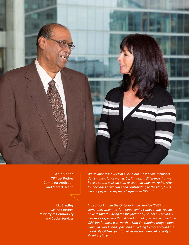

**Abidh Khan** OPTrust Retiree Centre for Addiction and Mental Health

**Liz Bradley** OPTrust Retiree Ministry of Community and Social Services *We do important work at CAMH, but most of our members don't make a lot of money. So, it makes a difference that we have a strong pension plan to count on when we retire. After four decades of working and contributing to the Plan, I was very happy to get my first cheque from OPTrust.*

*I liked working in the Ontario Public Service (OPS), but sometimes when the right opportunity comes along, you just have to take it. Paying the full [actuarial] cost of my buyback was more expensive than if I had signed up when I rejoined the OPS, but for me it was worth it. Now I'm running dragon boat clinics in Florida and Spain and travelling to races around the world. My OPTrust pension gives me the financial security to do what I love.*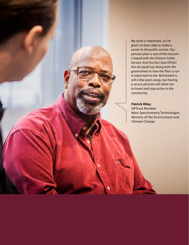*My work is important, so I'm glad I've been able to make a career in the public service. Our pension plan is one of the reasons I stayed with the Ontario Public Service. And the fact that OPSEU has an equal say along with the government in how the Plan is run is important to me. Retirement is still a few years away, but having a secure pension will allow me to travel and stay active in the community.*

# **Patrick Riley**

OPTrust Member Mass Spectrometry Technologist, Ministry of the Environment and Climate Change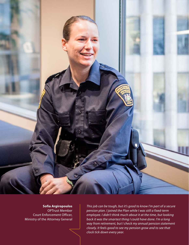

**Sofia Argiropoulos**  OPTrust Member Court Enforcement Officer, Ministry of the Attorney General

*This job can be tough, but it's good to know I'm part of a secure pension plan. I joined the Plan while I was still a fixed-term employee. I didn't think much about it at the time, but looking back it was the smartest thing I could have done. I'm a long way from retirement, but I check my annual pension statement closely. It feels good to see my pension grow and to see that clock tick down every year.*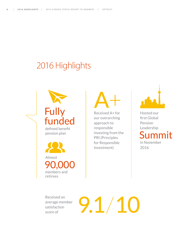# 2016 Highlights



 Almost 90,000 members and retirees

A+

Received A+ for our overarching approach to responsible investing from the PRI (Principles for Responsible Investment)



Hosted our first Global Pension Leadership Summit

in November 2016

average member satisfaction score of

Received an<br>
average member<br>
satisfaction<br>
score of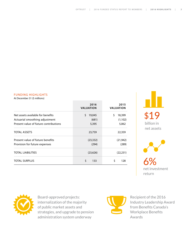# FUNDING HIGHLIGHTS

At December 31 (\$ millions)

|                                       | 2016<br><b>VALUATION</b> | 2015<br><b>VALUATION</b> |
|---------------------------------------|--------------------------|--------------------------|
| Net assets available for benefits     | Ś.<br>19,045             | \$<br>18,399             |
| Actuarial smoothing adjustment        | (681)                    | (1, 102)                 |
| Present value of future contributions | 5,395                    | 5,062                    |
| TOTAL ASSETS                          | 23,759                   | 22,359                   |
| Present value of future benefits      | (23, 332)                | (21, 942)                |
| Provision for future expenses         | (294)                    | (289)                    |
| <b>TOTAL LIABILITIES</b>              | (23,626)                 | (22, 231)                |
| <b>TOTAL SURPLUS</b>                  | Ś<br>133                 | \$<br>128                |

\$19 billion in net assets



6% net investment return



Board-approved projects: internalization of the majority of public market assets and strategies, and upgrade to pension administration system underway



Recipient of the 2016 Industry Leadership Award from Benefits Canada's Workplace Benefits Awards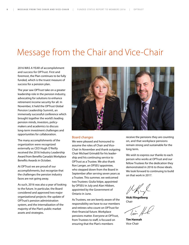# Message from the Chair and Vice-Chair

2016 WAS A YEAR of accomplishment and success for OPTrust. First and foremost, the Plan continues to be fully funded, which is the truest measure of success for a pension plan.

The year saw OPTrust take on a greater leadership role in the pension industry, advocating for solutions to enhance retirement income security for all. In November, it held the OPTrust Global Pension Leadership Summit, an immensely successful conference which brought together the world's leading pension minds, investors, policymakers and academics to discuss long-term investment challenges and opportunities for collaboration.

The many accomplishments of the organization were recognized externally as CEO Hugh O'Reilly received the 2016 Industry Leadership Award from Benefits Canada's Workplace Benefits Awards in October.

At OPTrust we are proud of our accomplishments, but recognize that the challenges the pension industry faces are not going away.

As such, 2016 was also a year of looking to the future. In particular, the Board considered and approved two major organizational projects: the update of OPTrust's pension administration system, and the internalization of the majority of the Plan's public market assets and strategies.



### Board changes

We were pleased and honoured to assume the roles of Chair and Vice-Chair in November and thank outgoing Chair Michael Grimaldi for his leadership and his continuing service to OPTrust as a Trustee. We also thank Ron Langer, an OPSEU appointee, who stepped down from the Board in September after serving seven years as a Trustee. This summer, we welcomed two Trustees: Giulia Volpe, appointed by OPSEU in July and Alan Hibben, appointed by the Government of Ontario in June.

As Trustees, we are keenly aware of the responsibility we have to our members and retirees who count on OPTrust for their financial future. Workplace pensions matter. Everyone at OPTrust, from Trustees to staff, is focused on ensuring that the Plan's members

receive the pensions they are counting on, and that workplace pensions remain strong and sustainable for the long term.

We wish to express our thanks to each person who works at OPTrust and our fellow Trustees for the dedication they demonstrated in 2016 to those ideals. We look forward to continuing to build on that work in 2017.

**Vicki Ringelberg** Chair

Tim,

**Tim Hannah** Vice-Chair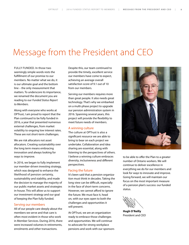# Message from the President and CEO

FULLY FUNDED. In those two seemingly simple words rests the fulfillment of our promise to our members. No matter what we do, it is our ultimate goal and the bottom line – the only measurement that matters. To underscore its importance, we renamed the document you are reading to our *Funded Status Report to Members*.

Along with everyone who works at OPTrust, I am proud to report that the Plan continued to be fully funded in 2016, a year that presented numerous external challenges, from market volatility to ongoing low interest rates. These are not short-term challenges.

We are risk allocators not asset allocators. Creating sustainability over the long term means embracing innovation and always looking for ways to improve.

In 2016, we began to fully implement our member-driven investing strategy, which was designed to enhance the likelihood of pension certainty, sustainability and stability, and made the decision to manage the majority of our public market assets and strategies in-house. This will allow us to support our investment strategy and our goal of keeping the Plan fully funded.

## Serving our members

All of our people care deeply about the members we serve and that care is often most evident in those who work in Member Services. During 2016, there were increased volumes in retirements, enrolments and other transactions.

Despite this, our team continued to provide the timely, excellent service our members have come to expect, achieving an average overall satisfaction score of 9.1 out of 10 from our members.

Serving our members requires more than great people. It also needs great technology. That's why we embarked on a multi-phase project to upgrade our pension administration system in 2016. Spanning several years, this project will provide the flexibility to meet future needs of members.

# A winning culture

The culture at OPTrust is also a significant resource we are able to bring to bear on each project we undertake. Collaboration and idea sharing are essential, along with listening to the perspectives of others. I believe a winning culture embraces diversity, inclusiveness and different perspectives.

# Facing the future

It's been said that a pension organization must think in decades. Taking the long view can be difficult, especially in the face of short-term concerns. However, we cannot afford to ignore the future. We must face it, head on, with our eyes open to both the challenges and opportunities it will present.

At OPTrust, we are an organization ready to embrace those challenges and opportunities. We will continue to advocate for strong workplace pensions and work with our sponsors



to be able to offer the Plan to a greater number of Ontario workers. We will continue to deliver excellence in everything we do for our members and look for ways to innovate and improve. Going forward, we will maintain our focus on the most important measure of a pension plan's success: our funded status.

**Hugh O'Reilly** President and CEO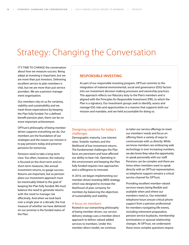# Strategy: Changing the Conversation

IT'S TIME TO CHANGE the conversation about how we measure success. Being adept at investing is important, but we are more than just investors. Delivering excellent service to plan members is vital, but we are more than just service providers. We are a pension management organization.

Our members rely on us for certainty, stability and sustainability and we meet those expectations by keeping the Plan fully funded. For a defined benefit pension plan, there can be no more important achievement.

OPTrust's philosophy of being member driven supports everything we do. Our members are the foundation of our strategies and the reason our mission is to pay pensions today and preserve pensions for tomorrow.

Pensions need to take a long-term view. Too often, however, the industry is focused on the short term and on short-term measures, like annual investment returns, to gauge success. Returns are important, but as pension plans our investment approach must be inextricably linked to the goal of keeping the Plan fully funded. We must balance the need to generate returns with the need to manage risk effectively. And when we look back over a single year or a decade, the true measure of whether we have delivered on our promise is the funded status of the Plan.

## **RESPONSIBLE INVESTING**

As part of our responsible investing program, OPTrust commits to the integration of material environmental, social and governance (ESG) factors into our investment decision-making processes and ownership practices. This approach reflects our fiduciary duty to the Plan's members and is aligned with the Principles for Responsible Investment (PRI), to which the Plan is a signatory. Our investment groups seek to identify, assess and manage ESG risks and opportunities in a manner that supports both our mission and mandate, and are held accountable for doing so.

# Designing solutions for today's challenges

Demographic maturity. Low interest rates. Volatile markets and the likelihood of low investment returns. The fundamental challenges the Plan faces are persistent and have affected our ability to bear risk. Operating in this environment and keeping the Plan fully funded requires new approaches and a willingness to innovate.

In 2016, we began implementing our member-driven investing (MDI) strategy, which was designed to increase the likelihood of plan certainty for members by balancing the objectives of sustainability and stability.

# A focus on members

Rooted in our overarching philosophy of being member driven, our service delivery strategy uses a member-direct approach to deliver valued-added services to members. Under this member-direct model, we continue

to tailor our service offerings to meet our members' needs and focus on offering them a variety of ways to communicate with us directly. While we know members are embracing web technology in ever increasing numbers, we also know they value the opportunity to speak personally with our staff. Pensions can be complex and there are times when members want to speak directly with an OPTrust representative, so telephone support remains a critical service channel for OPTrust.

Providing excellent member-valued services means being flexible and available when and where our members need us. Our extended telephone hours ensure critical phone support from a pension professional for members navigating life events, including retirement preparation, pension service buybacks, membership terminations or spousal relationship changes. At OPTrust, we understand these more complex questions require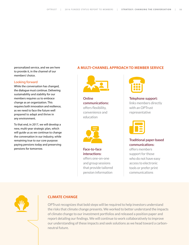personalized service, and we are here to provide it, in the channel of our members' choice.

# Looking forward

While the conversation has changed, the dialogue must continue. Delivering sustainability and stability for our members requires us to embrace change as an organization. This requires both innovation and resilience, as we need to face the future well prepared to adapt and thrive in any environment.

To that end, in 2017, we will develop a new, multi-year strategic plan, which will guide us as we continue to change the conversation in our industry, while remaining true to our core purpose: paying pensions today and preserving pensions for tomorrow.

# **A MULTI-CHANNEL APPROACH TO MEMBER SERVICE**



**Online communications:** offers flexibility, convenience and education



**Face-to-face interactions:**  offers one-on-one and group sessions that provide tailored

pension information



**Telephone support:**  links members directly with an OPTrust representative



**Traditional paper-based communications:** 

offers members support for those who do not have easy access to electronic tools or prefer print communications



# **CLIMATE CHANGE**

OPTrust recognizes that bold steps will be required to help investors understand the risks that climate change presents. We worked to better understand the impacts of climate change to our investment portfolios and released a position paper and report detailing our findings. We will continue to work collaboratively to improve our understanding of these impacts and seek solutions as we head toward a carbonneutral future.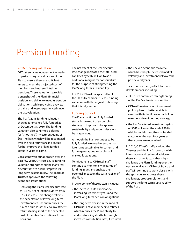# Pension Funding

## 2016 funding valuation

OPTrust engages independent actuaries to perform regular valuations of the Plan to ensure there are sufficient assets to meet the projected cost of members' and retirees' lifetime pensions. These valuations provide a snapshot of the Plan's financial position and ability to meet its pension obligations, while providing a review of gains and losses experienced since the last valuation.

The Plan's 2016 funding valuation showed it remained fully funded as of December 31, 2016. The funding valuation also confirmed deferred (or "smoothed") investment gains of \$681 million, which will be recognized over the next four years and should further improve the Plan's funded status in years to come.

Consistent with our approach over the past few years, OPTrust's 2016 funding valuation strengthened the Plan's real discount rate to further improve its long-term sustainability. The Board of Trustees approved the following economic assumption:

• Reducing the Plan's real discount rate to 3.40%, net of inflation, down from 3.55% in 2015. This change reflects the expectation of lower long-term investment returns and reduces the risk of future losses due to investment returns falling short of the expected cost of members' and retirees' future pensions.

The net effect of the real discount rate change increased the total fund liabilities by \$502 million to add additional margins for conservatism for the purpose of strengthening the Plan's long-term sustainability.

In 2017, OPTrust is expected to file the Plan's December 31, 2016 funding valuation with the regulator showing that it is fully funded.

# Funding outlook

The Plan's continued fully funded status is the result of an ongoing strategy to improve its long-term sustainability and prudent decisions by its sponsors.

Although the Plan continues to be fully funded, we need to ensure that it remains sustainable for current and future generations, regardless of market fluctuations.

To mitigate risks, OPTrust's staff continue to monitor a wide range of funding issues and analyze their potential impact on the sustainability of the Plan.

In 2016, some of these factors included:

- the increase in life expectancy, increasing retirement years and the Plan's long-term pension obligations
- the long-term decline in the ratio of OPTrust's active members to retirees, which reduces the Plan's ability to address funding shortfalls through increased contribution rates, if required

• the uneven economic recovery, which has sharply increased market volatility and investment risk over the past several years.

These risks are partly offset by recent developments, including:

- OPTrust's continued strengthening of the Plan's actuarial assumptions
- OPTrust's review of our investment philosophies to better match its assets with its liabilities as part of our member-driven investing strategy
- the Plan's deferred investment gains of \$681 million at the end of 2016, which should strengthen its funded status over the next four years as these gains are recognized.

In 2016, OPTrust's staff provided the Trustees and the Plan's sponsors with information and technical advice on these and other factors that might challenge the Plan's funding over the next several years. OPTrust's Board and staff will continue to work closely with the sponsors to address these challenges, propose solutions and support the long-term sustainability of the Plan.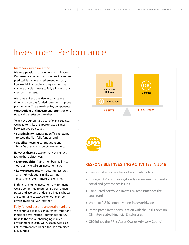# Investment Performance

# Member-driven investing

We are a pension management organization. Our members depend on us to provide secure, predictable income in retirement. As such, how we think about investing and how we manage our plan needs to fully align with our members' interests.

We strive to keep the Plan in balance at all times to protect its funded status and improve plan certainty. There are three key components: **contributions** and **investment returns** on one side, and **benefits** on the other.

To achieve our primary goal of plan certainty, we need to strike the appropriate balance between two objectives:

- **Sustainability**: Generating sufficient returns to keep the Plan fully funded; and,
- **Stability**: Keeping contributions and benefits as stable as possible over time.

However, there are two primary challenges facing these objectives:

- **Demographics**: Aging membership limits our ability to take on investment risk.
- **Low expected returns**: Low interest rates and high valuations make earning investment returns more challenging.

In this challenging investment environment, we are committed to protecting our funded status and avoiding undue risk. This is why we are continuing to execute on our memberdriven investing (MDI) strategy.

# Fully funded despite uncertain markets

We continued to focus on our most important metric of performance – our funded status. Despite the overall challenging market environment in 2016, OPTrust achieved a 6% net investment return and the Plan remained fully funded.





# **RESPONSIBLE INVESTING ACTIVITIES IN 2016**

- Continued advocacy for global climate policy
- Engaged 351 companies globally on key environmental, social and governance issues
- Conducted portfolio climate risk assessment of the total fund
- Voted at 2,340 company meetings worldwide
- Participated in the consultation with the Task Force on Climate-related Financial Disclosures
- CIO joined the PRI's Asset Owner Advisory Council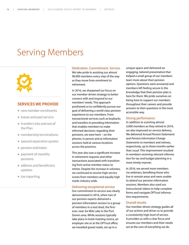# Serving Members



# **SERVICES WE PROVIDE**

- new member enrolments
- leaves and past service
- transfers into and out of the Plan
- membership terminations
- spousal separation quotes
- pension estimates
- payment of monthly pensions
- address and beneficiary updates
- tax reporting

# Dedication. Commitment. Service.

We take pride in assisting our almost 90,000 members every step of the way as they move from enrolment to retirement.

In 2016, we sharpened our focus on our member-driven strategy to better connect with and respond to our members' needs. This approach positioned us to confidently pursue our goal of delivering a world-class pension experience to our members. From transactional services such as buybacks and transfers to providing information that enables members to make informed decisions regarding their pensions, we were here – on the phones, in person and at information sessions held at various locations across the province.

This year also saw a significant increase in retirement requests and other transactions associated with transitioning from active member status to retiree. Despite the increase in volumes, we continued to receive high service scores from members and equally high marks industry wide.

#### Delivering exceptional service

Our commitment to service was clearly demonstrated in 2016, when two of our pension experts delivered a pension information session to a group of members in a tool shed, the firstever, near Six Mile Lake in the Port Severn area. While sessions typically take place in hotel meeting rooms, an employer site or at the OPTrust office, we travelled gravel roads, set up in a

unique space and delivered an engaging, tailored presentation that helped a small group of our members learn more about their pension options. Questions were answered and members left feeling secure in the knowledge that their pension plan is here for them. We pride ourselves on being here to support our members throughout their careers and provide answers to their questions in the most accessible way.

# Strong performance

In addition to assisting almost 3,000 members as they retired in 2016, we also improved on service delivery. We delivered *Annual Pension Statements*  and *Pension Information Change Statements* to members and retirees, respectively, up to three months earlier than usual. This improvement resulted in members receiving relevant information for tax and budget planning in a more timely manner.

In 2016, we served more members via webinars, benefiting those who live in remote areas and were unable to attend our pension information sessions. Members also used our instructional videos to help complete forms and navigate OPTrust information requirements.

# Overall results

Our member-driven strategy guides all of our actions and drives us to provide a consistently high level of service. It provides us with a clear focus and ensures our members and their needs are at the core of everything we do.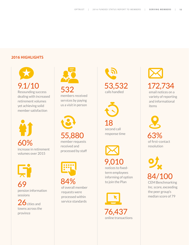# **2016 HIGHLIGHTS**







pension information sessions

 $26$  cities and towns across the province





55,880 member requests received and processed by staff



 $\frac{69}{\text{ of overall member}}$  to join the Plan 84% of overall member requests were processed within service standards





response time



notices to fixedterm employees informing of option



 $172,734$ <br>email notices on a variety of reporting and informational items

63% of first-contact resolution

84/100 CEM Benchmarking Inc. score, exceeding the peer group's median score of 79